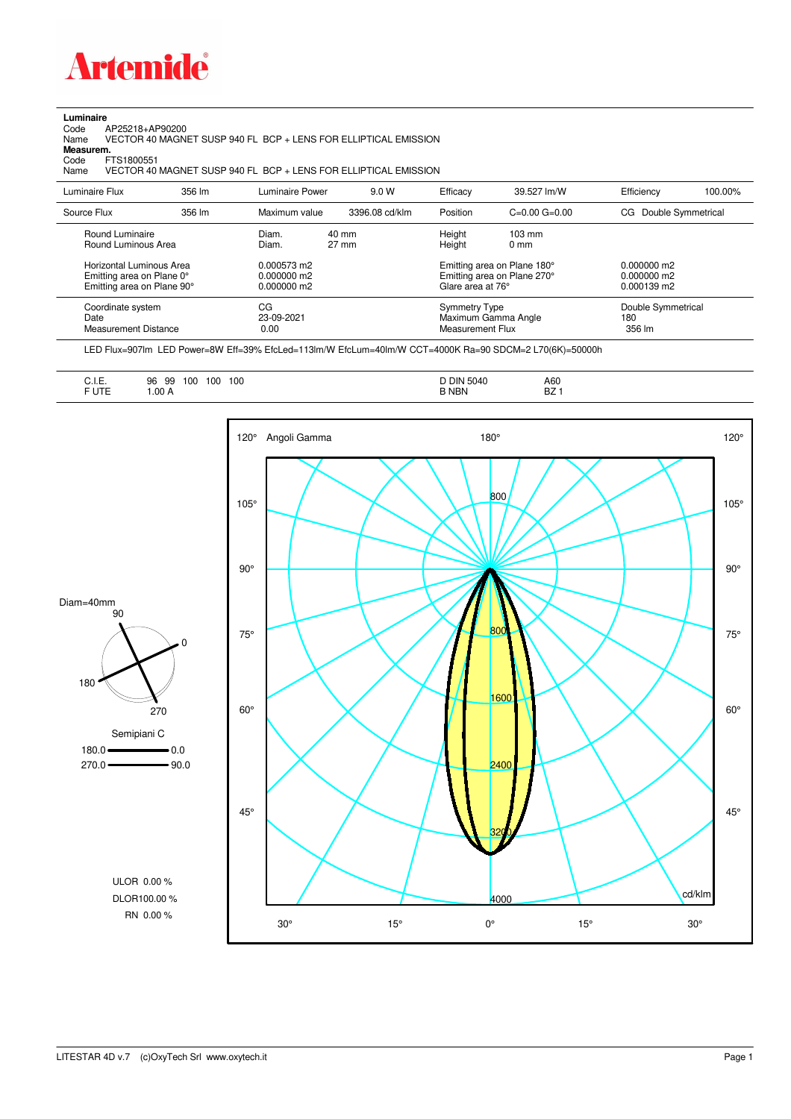

## **Luminaire**<br>Code /<br>Name

Code AP25218+AP90200 Name VECTOR 40 MAGNET SUSP 940 FL BCP + LENS FOR ELLIPTICAL EMISSION **Measurem.**

Code FTS1800551<br>Name VECTOR 40 VECTOR 40 MAGNET SUSP 940 FL BCP + LENS FOR ELLIPTICAL EMISSION

| Luminaire Flux                                    | 356 lm | Luminaire Power          | 9.0 W           | Efficacy                          | 39.527 lm/W                 | Efficiency                          | 100.00% |
|---------------------------------------------------|--------|--------------------------|-----------------|-----------------------------------|-----------------------------|-------------------------------------|---------|
|                                                   |        |                          |                 |                                   |                             |                                     |         |
| Source Flux                                       | 356 lm | Maximum value            | 3396.08 cd/klm  | Position                          | $C=0.00$ $G=0.00$           | Double Symmetrical<br>CG            |         |
| Round Luminaire                                   |        | Diam.                    | 40 mm           | Height                            | $103 \text{ mm}$            |                                     |         |
| Round Luminous Area                               |        | Diam.                    | $27 \text{ mm}$ | Height                            | $0 \text{ mm}$              |                                     |         |
| Horizontal Luminous Area                          |        | 0.000573 m2              |                 |                                   | Emitting area on Plane 180° | $0.000000$ m2                       |         |
| Emitting area on Plane 0°                         |        | $0.000000$ m2            |                 |                                   | Emitting area on Plane 270° | $0.000000$ m2                       |         |
| Emitting area on Plane 90°                        |        | $0.000000$ m2            |                 | Glare area at 76°                 |                             | $0.000139$ m2                       |         |
| Coordinate system<br>Date<br>Measurement Distance |        | CG<br>23-09-2021<br>0.00 |                 | Symmetry Type<br>Measurement Flux | Maximum Gamma Angle         | Double Symmetrical<br>180<br>356 lm |         |

LED Flux=907lm LED Power=8W Eff=39% EfcLed=113lm/W EfcLum=40lm/W CCT=4000K Ra=90 SDCM=2 L70(6K)=50000h

| F UTE<br>.00A |
|---------------|
|---------------|